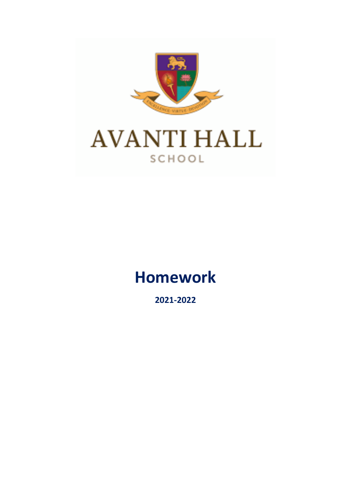

# **Homework**

**2021-2022**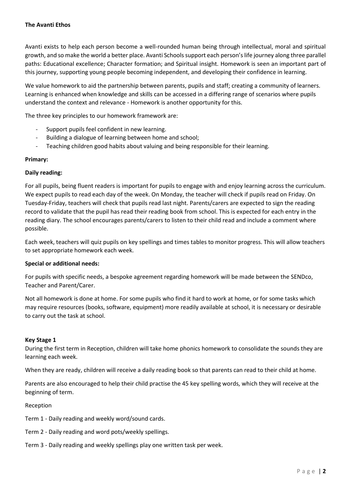Avanti exists to help each person become a well-rounded human being through intellectual, moral and spiritual growth, and so make the world a better place. Avanti Schools support each person's life journey along three parallel paths: Educational excellence; Character formation; and Spiritual insight. Homework is seen an important part of this journey, supporting young people becoming independent, and developing their confidence in learning.

We value homework to aid the partnership between parents, pupils and staff; creating a community of learners. Learning is enhanced when knowledge and skills can be accessed in a differing range of scenarios where pupils understand the context and relevance - Homework is another opportunity for this.

The three key principles to our homework framework are:

- Support pupils feel confident in new learning.
- Building a dialogue of learning between home and school;
- Teaching children good habits about valuing and being responsible for their learning.

## **Primary:**

## **Daily reading:**

For all pupils, being fluent readers is important for pupils to engage with and enjoy learning across the curriculum. We expect pupils to read each day of the week. On Monday, the teacher will check if pupils read on Friday. On Tuesday-Friday, teachers will check that pupils read last night. Parents/carers are expected to sign the reading record to validate that the pupil has read their reading book from school. This is expected for each entry in the reading diary. The school encourages parents/carers to listen to their child read and include a comment where possible.

Each week, teachers will quiz pupils on key spellings and times tables to monitor progress. This will allow teachers to set appropriate homework each week.

### **Special or additional needs:**

For pupils with specific needs, a bespoke agreement regarding homework will be made between the SENDco, Teacher and Parent/Carer.

Not all homework is done at home. For some pupils who find it hard to work at home, or for some tasks which may require resources (books, software, equipment) more readily available at school, it is necessary or desirable to carry out the task at school.

### **Key Stage 1**

During the first term in Reception, children will take home phonics homework to consolidate the sounds they are learning each week.

When they are ready, children will receive a daily reading book so that parents can read to their child at home.

Parents are also encouraged to help their child practise the 45 key spelling words, which they will receive at the beginning of term.

### Reception

- Term 1 Daily reading and weekly word/sound cards.
- Term 2 Daily reading and word pots/weekly spellings.
- Term 3 Daily reading and weekly spellings play one written task per week.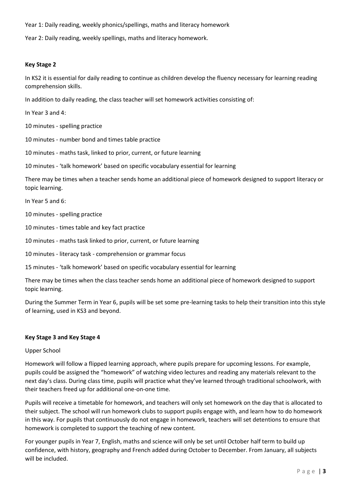Year 1: Daily reading, weekly phonics/spellings, maths and literacy homework

Year 2: Daily reading, weekly spellings, maths and literacy homework.

#### **Key Stage 2**

In KS2 it is essential for daily reading to continue as children develop the fluency necessary for learning reading comprehension skills.

In addition to daily reading, the class teacher will set homework activities consisting of:

In Year 3 and 4:

10 minutes - spelling practice

10 minutes - number bond and times table practice

10 minutes - maths task, linked to prior, current, or future learning

10 minutes - 'talk homework' based on specific vocabulary essential for learning

There may be times when a teacher sends home an additional piece of homework designed to support literacy or topic learning.

In Year 5 and 6:

10 minutes - spelling practice

10 minutes - times table and key fact practice

10 minutes - maths task linked to prior, current, or future learning

10 minutes - literacy task - comprehension or grammar focus

15 minutes - 'talk homework' based on specific vocabulary essential for learning

There may be times when the class teacher sends home an additional piece of homework designed to support topic learning.

During the Summer Term in Year 6, pupils will be set some pre-learning tasks to help their transition into this style of learning, used in KS3 and beyond.

### **Key Stage 3 and Key Stage 4**

### Upper School

Homework will follow a flipped learning approach, where pupils prepare for upcoming lessons. For example, pupils could be assigned the "homework" of watching video lectures and reading any materials relevant to the next day's class. During class time, pupils will practice what they've learned through traditional schoolwork, with their teachers freed up for additional one-on-one time.

Pupils will receive a timetable for homework, and teachers will only set homework on the day that is allocated to their subject. The school will run homework clubs to support pupils engage with, and learn how to do homework in this way. For pupils that continuously do not engage in homework, teachers will set detentions to ensure that homework is completed to support the teaching of new content.

For younger pupils in Year 7, English, maths and science will only be set until October half term to build up confidence, with history, geography and French added during October to December. From January, all subjects will be included.